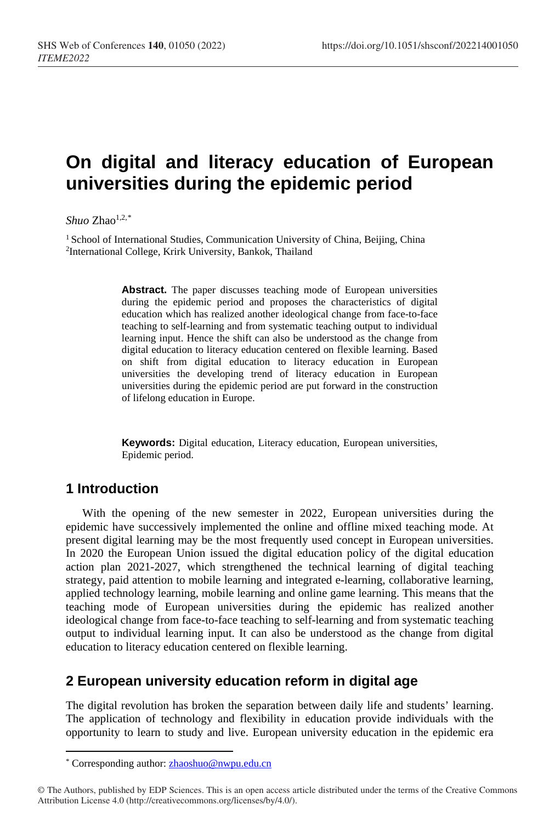# **On digital and literacy education of European universities during the epidemic period**

*Shuo*  $Z$ hao<sup>1,2,[\\*](#page-0-0)</sup>

<sup>1</sup> School of International Studies, Communication University of China, Beijing, China 2International College, Krirk University, Bankok, Thailand

> **Abstract.** The paper discusses teaching mode of European universities during the epidemic period and proposes the characteristics of digital education which has realized another ideological change from face-to-face teaching to self-learning and from systematic teaching output to individual learning input. Hence the shift can also be understood as the change from digital education to literacy education centered on flexible learning. Based on shift from digital education to literacy education in European universities the developing trend of literacy education in European universities during the epidemic period are put forward in the construction of lifelong education in Europe.

> **Keywords:** Digital education, Literacy education, European universities, Epidemic period.

## **1 Introduction**

 $\overline{a}$ 

With the opening of the new semester in 2022, European universities during the epidemic have successively implemented the online and offline mixed teaching mode. At present digital learning may be the most frequently used concept in European universities. In 2020 the European Union issued the digital education policy of the digital education action plan 2021-2027, which strengthened the technical learning of digital teaching strategy, paid attention to mobile learning and integrated e-learning, collaborative learning, applied technology learning, mobile learning and online game learning. This means that the teaching mode of European universities during the epidemic has realized another ideological change from face-to-face teaching to self-learning and from systematic teaching output to individual learning input. It can also be understood as the change from digital education to literacy education centered on flexible learning.

## **2 European university education reform in digital age**

The digital revolution has broken the separation between daily life and students' learning. The application of technology and flexibility in education provide individuals with the opportunity to learn to study and live. European university education in the epidemic era

<sup>\*</sup> Corresponding author[: zhaoshuo@nwpu.edu.cn](mailto:zhaoshuo@nwpu.edu.cn)

<span id="page-0-0"></span><sup>©</sup> The Authors, published by EDP Sciences. This is an open access article distributed under the terms of the Creative Commons Attribution License 4.0 (http://creativecommons.org/licenses/by/4.0/).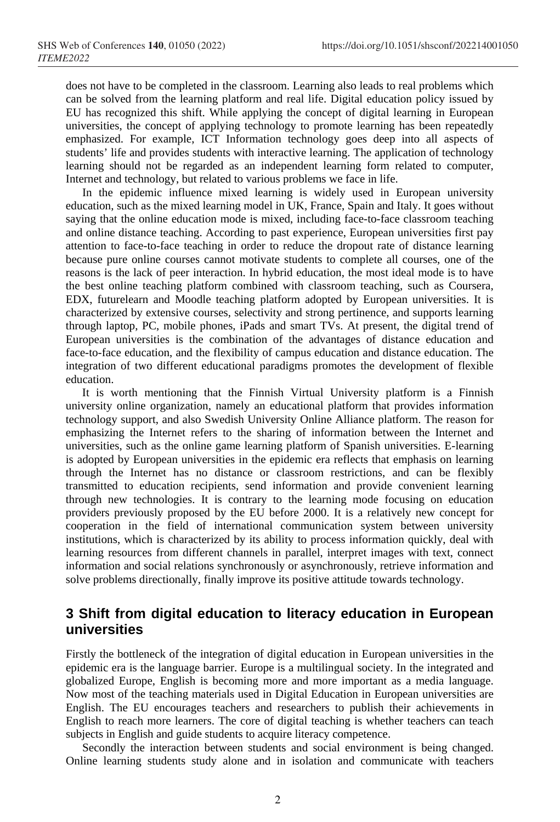does not have to be completed in the classroom. Learning also leads to real problems which can be solved from the learning platform and real life. Digital education policy issued by EU has recognized this shift. While applying the concept of digital learning in European universities, the concept of applying technology to promote learning has been repeatedly emphasized. For example, ICT Information technology goes deep into all aspects of students' life and provides students with interactive learning. The application of technology learning should not be regarded as an independent learning form related to computer, Internet and technology, but related to various problems we face in life.

In the epidemic influence mixed learning is widely used in European university education, such as the mixed learning model in UK, France, Spain and Italy. It goes without saying that the online education mode is mixed, including face-to-face classroom teaching and online distance teaching. According to past experience, European universities first pay attention to face-to-face teaching in order to reduce the dropout rate of distance learning because pure online courses cannot motivate students to complete all courses, one of the reasons is the lack of peer interaction. In hybrid education, the most ideal mode is to have the best online teaching platform combined with classroom teaching, such as Coursera, EDX, futurelearn and Moodle teaching platform adopted by European universities. It is characterized by extensive courses, selectivity and strong pertinence, and supports learning through laptop, PC, mobile phones, iPads and smart TVs. At present, the digital trend of European universities is the combination of the advantages of distance education and face-to-face education, and the flexibility of campus education and distance education. The integration of two different educational paradigms promotes the development of flexible education.

It is worth mentioning that the Finnish Virtual University platform is a Finnish university online organization, namely an educational platform that provides information technology support, and also Swedish University Online Alliance platform. The reason for emphasizing the Internet refers to the sharing of information between the Internet and universities, such as the online game learning platform of Spanish universities. E-learning is adopted by European universities in the epidemic era reflects that emphasis on learning through the Internet has no distance or classroom restrictions, and can be flexibly transmitted to education recipients, send information and provide convenient learning through new technologies. It is contrary to the learning mode focusing on education providers previously proposed by the EU before 2000. It is a relatively new concept for cooperation in the field of international communication system between university institutions, which is characterized by its ability to process information quickly, deal with learning resources from different channels in parallel, interpret images with text, connect information and social relations synchronously or asynchronously, retrieve information and solve problems directionally, finally improve its positive attitude towards technology.

## **3 Shift from digital education to literacy education in European universities**

Firstly the bottleneck of the integration of digital education in European universities in the epidemic era is the language barrier. Europe is a multilingual society. In the integrated and globalized Europe, English is becoming more and more important as a media language. Now most of the teaching materials used in Digital Education in European universities are English. The EU encourages teachers and researchers to publish their achievements in English to reach more learners. The core of digital teaching is whether teachers can teach subjects in English and guide students to acquire literacy competence.

Secondly the interaction between students and social environment is being changed. Online learning students study alone and in isolation and communicate with teachers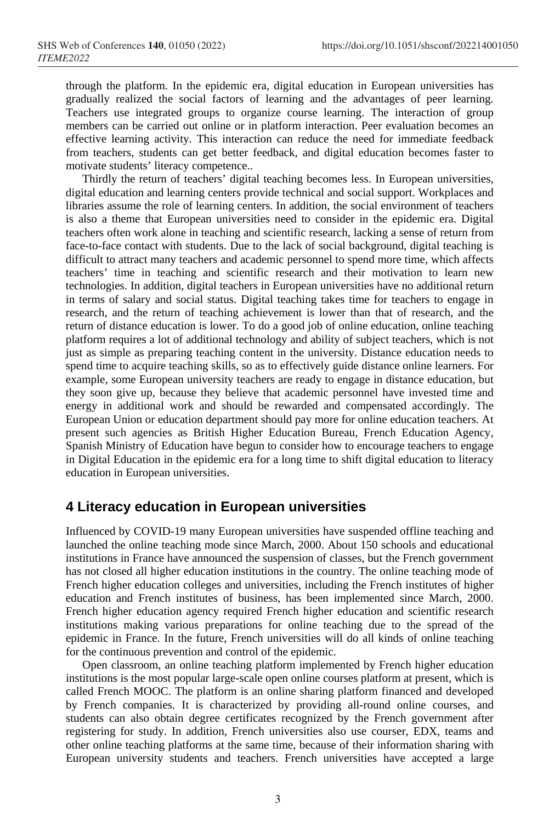through the platform. In the epidemic era, digital education in European universities has gradually realized the social factors of learning and the advantages of peer learning. Teachers use integrated groups to organize course learning. The interaction of group members can be carried out online or in platform interaction. Peer evaluation becomes an effective learning activity. This interaction can reduce the need for immediate feedback from teachers, students can get better feedback, and digital education becomes faster to motivate students' literacy competence..

Thirdly the return of teachers' digital teaching becomes less. In European universities, digital education and learning centers provide technical and social support. Workplaces and libraries assume the role of learning centers. In addition, the social environment of teachers is also a theme that European universities need to consider in the epidemic era. Digital teachers often work alone in teaching and scientific research, lacking a sense of return from face-to-face contact with students. Due to the lack of social background, digital teaching is difficult to attract many teachers and academic personnel to spend more time, which affects teachers' time in teaching and scientific research and their motivation to learn new technologies. In addition, digital teachers in European universities have no additional return in terms of salary and social status. Digital teaching takes time for teachers to engage in research, and the return of teaching achievement is lower than that of research, and the return of distance education is lower. To do a good job of online education, online teaching platform requires a lot of additional technology and ability of subject teachers, which is not just as simple as preparing teaching content in the university. Distance education needs to spend time to acquire teaching skills, so as to effectively guide distance online learners. For example, some European university teachers are ready to engage in distance education, but they soon give up, because they believe that academic personnel have invested time and energy in additional work and should be rewarded and compensated accordingly. The European Union or education department should pay more for online education teachers. At present such agencies as British Higher Education Bureau, French Education Agency, Spanish Ministry of Education have begun to consider how to encourage teachers to engage in Digital Education in the epidemic era for a long time to shift digital education to literacy education in European universities.

#### **4 Literacy education in European universities**

Influenced by COVID-19 many European universities have suspended offline teaching and launched the online teaching mode since March, 2000. About 150 schools and educational institutions in France have announced the suspension of classes, but the French government has not closed all higher education institutions in the country. The online teaching mode of French higher education colleges and universities, including the French institutes of higher education and French institutes of business, has been implemented since March, 2000. French higher education agency required French higher education and scientific research institutions making various preparations for online teaching due to the spread of the epidemic in France. In the future, French universities will do all kinds of online teaching for the continuous prevention and control of the epidemic.

Open classroom, an online teaching platform implemented by French higher education institutions is the most popular large-scale open online courses platform at present, which is called French MOOC. The platform is an online sharing platform financed and developed by French companies. It is characterized by providing all-round online courses, and students can also obtain degree certificates recognized by the French government after registering for study. In addition, French universities also use courser, EDX, teams and other online teaching platforms at the same time, because of their information sharing with European university students and teachers. French universities have accepted a large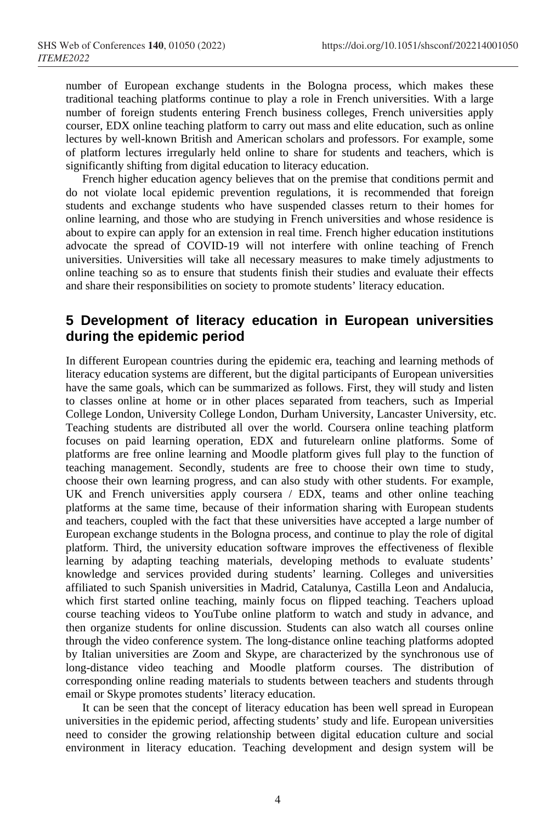number of European exchange students in the Bologna process, which makes these traditional teaching platforms continue to play a role in French universities. With a large number of foreign students entering French business colleges, French universities apply courser, EDX online teaching platform to carry out mass and elite education, such as online lectures by well-known British and American scholars and professors. For example, some of platform lectures irregularly held online to share for students and teachers, which is significantly shifting from digital education to literacy education.

French higher education agency believes that on the premise that conditions permit and do not violate local epidemic prevention regulations, it is recommended that foreign students and exchange students who have suspended classes return to their homes for online learning, and those who are studying in French universities and whose residence is about to expire can apply for an extension in real time. French higher education institutions advocate the spread of COVID-19 will not interfere with online teaching of French universities. Universities will take all necessary measures to make timely adjustments to online teaching so as to ensure that students finish their studies and evaluate their effects and share their responsibilities on society to promote students' literacy education.

#### **5 Development of literacy education in European universities during the epidemic period**

In different European countries during the epidemic era, teaching and learning methods of literacy education systems are different, but the digital participants of European universities have the same goals, which can be summarized as follows. First, they will study and listen to classes online at home or in other places separated from teachers, such as Imperial College London, University College London, Durham University, Lancaster University, etc. Teaching students are distributed all over the world. Coursera online teaching platform focuses on paid learning operation, EDX and futurelearn online platforms. Some of platforms are free online learning and Moodle platform gives full play to the function of teaching management. Secondly, students are free to choose their own time to study, choose their own learning progress, and can also study with other students. For example, UK and French universities apply coursera / EDX, teams and other online teaching platforms at the same time, because of their information sharing with European students and teachers, coupled with the fact that these universities have accepted a large number of European exchange students in the Bologna process, and continue to play the role of digital platform. Third, the university education software improves the effectiveness of flexible learning by adapting teaching materials, developing methods to evaluate students' knowledge and services provided during students' learning. Colleges and universities affiliated to such Spanish universities in Madrid, Catalunya, Castilla Leon and Andalucia, which first started online teaching, mainly focus on flipped teaching. Teachers upload course teaching videos to YouTube online platform to watch and study in advance, and then organize students for online discussion. Students can also watch all courses online through the video conference system. The long-distance online teaching platforms adopted by Italian universities are Zoom and Skype, are characterized by the synchronous use of long-distance video teaching and Moodle platform courses. The distribution of corresponding online reading materials to students between teachers and students through email or Skype promotes students' literacy education.

It can be seen that the concept of literacy education has been well spread in European universities in the epidemic period, affecting students' study and life. European universities need to consider the growing relationship between digital education culture and social environment in literacy education. Teaching development and design system will be